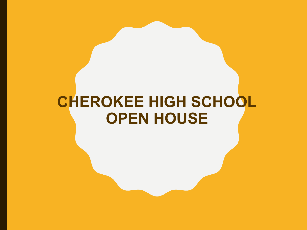### **CHEROKEE HIGH SCHOOL OPEN HOUSE**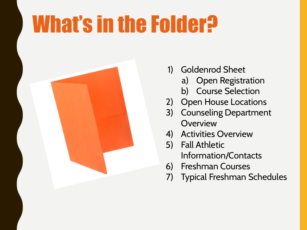# What's in the Folder?



- 1) Goldenrod Sheet
	- a) Open Registration
	- b) Course Selection
- 2) Open House Locations
- 3) Counseling Department **Overview**
- 4) Activities Overview
- 5) Fall Athletic Information/Contacts
- 6) Freshman Courses
- 7) Typical Freshman Schedules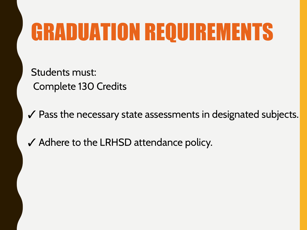## GRADUATION REQUIREMENTS

Students must: Complete 130 Credits

✓ Pass the necessary state assessments in designated subjects.

✓ Adhere to the LRHSD attendance policy.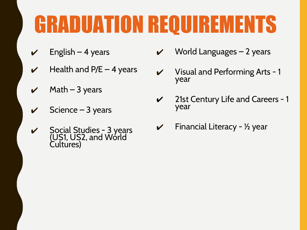## GRADUATION REQUIREMENTS

- English 4 years
- Health and  $P/E 4$  years
- $Math 3$  years
- Science  $-3$  years
- $\checkmark$  Social Studies 3 years  $(U$ S1, US2, and World Cultures)
- World Languages 2 years
- ✔ Visual and Performing Arts 1 year
- $\checkmark$  21st Century Life and Careers 1 year
- Financial Literacy  $\frac{1}{2}$  year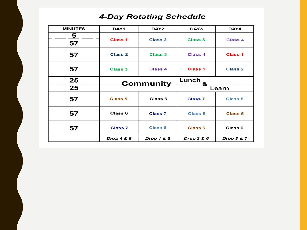#### **4-Day Rotating Schedule**

| <b>MINUTES</b> | DAY1               | DAY <sub>2</sub> | DAY3           | DAY4               |
|----------------|--------------------|------------------|----------------|--------------------|
| 5<br>57        | <b>Class 1</b>     | <b>Class 2</b>   | <b>Class 3</b> | <b>Class 4</b>     |
| 57             | <b>Class 2</b>     | <b>Class 3</b>   | <b>Class 4</b> | <b>Class 1</b>     |
| 57             | <b>Class 3</b>     | <b>Class 4</b>   | <b>Class 1</b> | <b>Class 2</b>     |
| 25             | Lunch<br>Community |                  |                |                    |
| 25             |                    |                  | &<br>Learn     |                    |
| 57             | <b>Class 5</b>     | Class 6          | <b>Class 7</b> | <b>Class 8</b>     |
| 57             | Class 6            | <b>Class 7</b>   | Class 8        | <b>Class 5</b>     |
| 57             | <b>Class 7</b>     | <b>Class 8</b>   | <b>Class 5</b> | Class <sub>6</sub> |
|                | Drop 4 & 8         | Drop 1 & 5       | Drop 2 & 6     | Drop 3 & 7         |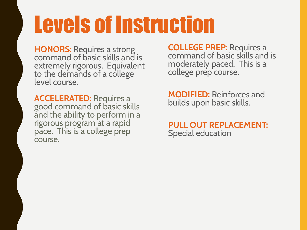## Levels of Instruction

**HONORS:** Requires a strong command of basic skills and is extremely rigorous. Equivalent to the demands of a college level course.

**ACCELERATED:** Requires a good command of basic skills and the ability to perform in a rigorous program at a rapid pace. This is a college prep course.

**COLLEGE PREP:** Requires a command of basic skills and is moderately paced. This is a college prep course.

**MODIFIED:** Reinforces and builds upon basic skills.

**PULL OUT REPLACEMENT:**  Special education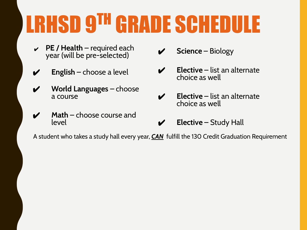# LRHSD 9TH GRADE SCHEDULE

- ✔ **PE / Health** required each year (will be pre-selected)
- **English** choose a level
- ✔ **World Languages** choose a course
- ✔ **Math** choose course and level
- ✔ **Science** Biology
- **Elective** list an alternate choice as well
- ✔ **Elective** list an alternate choice as well
- **Elective** Study Hall

A student who takes a study hall every year, *CAN* fulfill the 130 Credit Graduation Requirement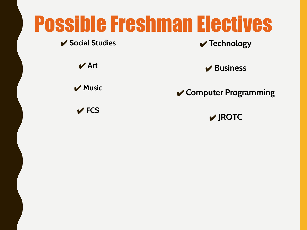### Possible Freshman Electives

#### ✔ **Social Studies**

✔ **Technology**

✔ **Art**

✔ **Music**

✔ **Business**

✔ **Computer Programming**

✔ **FCS**

✔ **JROTC**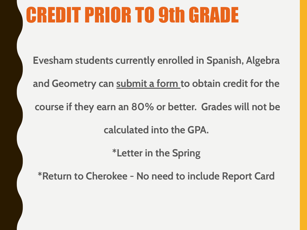### CREDIT PRIOR TO 9th GRADE

**Evesham students currently enrolled in Spanish, Algebra and Geometry can [submit a form t](https://www.lrhsd.org/site/default.aspx?PageType=3&ModuleInstanceID=1403&ViewID=7b97f7ed-8e5e-4120-848f-a8b4987d588f&RenderLoc=0&FlexDataID=1926&PageID=722)o obtain credit for the course if they earn an 80% or better. Grades will not be calculated into the GPA. \*Letter in the Spring**

**\*Return to Cherokee - No need to include Report Card**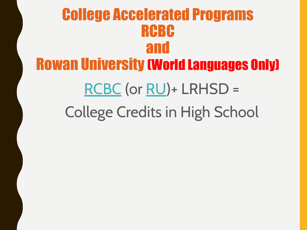### College Accelerated Programs RCBC and Rowan University (World Languages Only) [RCBC](https://www.lrhsd.org/Page/9734) (or [RU\)](https://www.lrhsd.org/Page/9736)+ LRHSD = College Credits in High School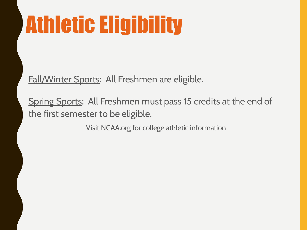# Athletic Eligibility

Fall/Winter Sports: All Freshmen are eligible.

Spring Sports: All Freshmen must pass 15 credits at the end of the first semester to be eligible.

Visit NCAA.org for college athletic information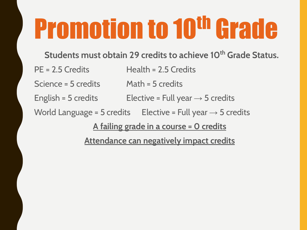# **Promotion to 10<sup>th</sup> Grade**

**Students must obtain 29 credits to achieve 10<sup>th</sup> Grade Status.** 

PE = 2.5 Credits Health = 2.5 Credits

Science = 5 credits Math = 5 credits

English = 5 credits Elective = Full year  $\rightarrow$  5 credits

World Language = 5 credits Elective = Full year  $\rightarrow$  5 credits

**A failing grade in a course = 0 credits**

**Attendance can negatively impact credits**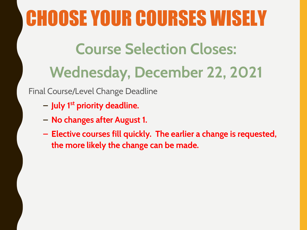### CHOOSE YOUR COURSES WISELY

### **Course Selection Closes: Wednesday, December 22, 2021**

Final Course/Level Change Deadline

- **– July 1st priority deadline.**
- **– No changes after August 1.**
- **– Elective courses fill quickly. The earlier a change is requested, the more likely the change can be made.**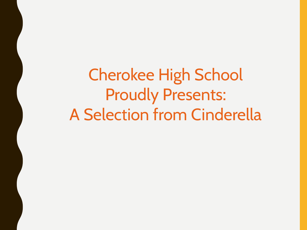Cherokee High School Proudly Presents: A Selection from Cinderella